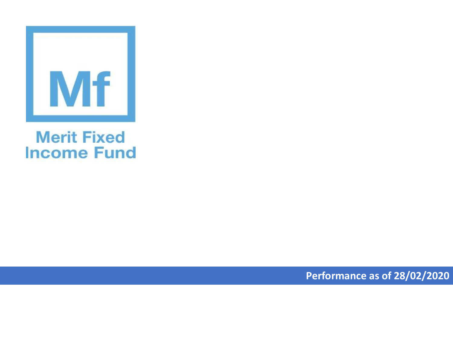

## **Merit Fixed Income Fund**

**Performance as of 28/02/2020**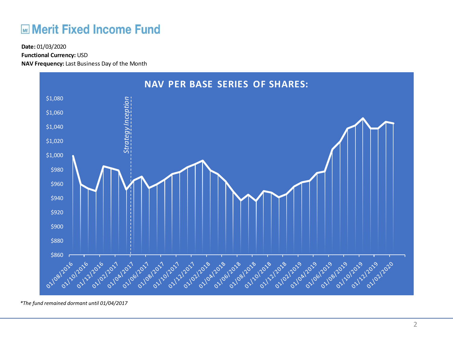## **ME Merit Fixed Income Fund**

**Functional Currency:** USD

**NAV Frequency:** Last Business Day of the Month